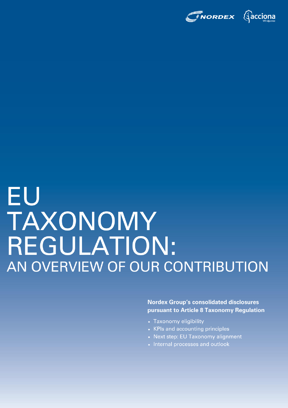

# EU TAXONOMY REGULATION: AN OVERVIEW OF OUR CONTRIBUTION

**Nordex Group's consolidated disclosures** pursuant to Article 8 Taxonomy Regulation

- Taxonomy eligibility
- KPIs and accounting principles
- Next step: EU Taxonomy alignment
- Internal processes and outlook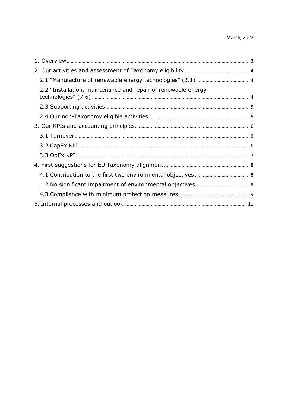| 2.2 "Installation, maintenance and repair of renewable energy |  |
|---------------------------------------------------------------|--|
|                                                               |  |
|                                                               |  |
|                                                               |  |
|                                                               |  |
|                                                               |  |
|                                                               |  |
|                                                               |  |
|                                                               |  |
|                                                               |  |
|                                                               |  |
|                                                               |  |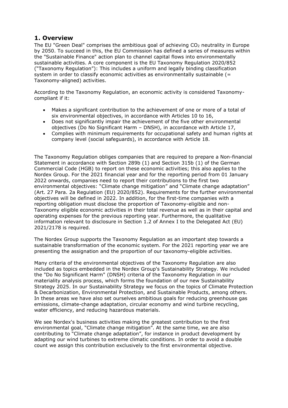# <span id="page-2-0"></span>**1. Overview**

The EU "Green Deal" comprises the ambitious goal of achieving CO<sup>2</sup> neutrality in Europe by 2050. To succeed in this, the EU Commission has defined a series of measures within the "Sustainable Finance" action plan to channel capital flows into environmentally sustainable activities. A core component is the EU Taxonomy Regulation 2020/852 ("Taxonomy Regulation"): This includes a uniform and legally binding classification system in order to classify economic activities as environmentally sustainable (= Taxonomy-aligned) activities.

According to the Taxonomy Regulation, an economic activity is considered Taxonomycompliant if it:

- Makes a significant contribution to the achievement of one or more of a total of six environmental objectives, in accordance with Articles 10 to 16,
- Does not significantly impair the achievement of the five other environmental objectives (Do No Significant Harm – DNSH), in accordance with Article 17,
- Complies with minimum requirements for occupational safety and human rights at company level (social safeguards), in accordance with Article 18.

The Taxonomy Regulation obliges companies that are required to prepare a Non-financial Statement in accordance with Section 289b (1) and Section 315b (1) of the German Commercial Code (HGB) to report on these economic activities; this also applies to the Nordex Group. For the 2021 financial year and for the reporting period from 01 January 2022 onwards, companies need to report their contributions to the first two environmental objectives: "Climate change mitigation" and "Climate change adaptation" (Art. 27 Para. 2a Regulation (EU) 2020/852). Requirements for the further environmental objectives will be defined in 2022. In addition, for the first-time companies with a reporting obligation must disclose the proportion of Taxonomy-eligible and non-Taxonomy eligible economic activities in their total revenue as well as in their capital and operating expenses for the previous reporting year. Furthermore, the qualitative information relevant to disclosure in Section 1.2 of Annex I to the Delegated Act (EU) 2021/2178 is required.

The Nordex Group supports the Taxonomy Regulation as an important step towards a sustainable transformation of the economic system. For the 2021 reporting year we are presenting the assignation and the proportion of our taxonomy-eligible activities.

Many criteria of the environmental objectives of the Taxonomy Regulation are also included as topics embedded in the Nordex Group's Sustainability Strategy. We included the "Do No Significant Harm" (DNSH) criteria of the Taxonomy Regulation in our materiality analysis process, which forms the foundation of our new Sustainability Strategy 2025. In our Sustainability Strategy we focus on the topics of Climate Protection & Decarbonization, Environmental Protection, and Sustainable Products, among others. In these areas we have also set ourselves ambitious goals for reducing greenhouse gas emissions, climate-change adaptation, circular economy and wind turbine recycling, water efficiency, and reducing hazardous materials.

We see Nordex's business activities making the greatest contribution to the first environmental goal, "Climate change mitigation". At the same time, we are also contributing to "Climate change adaptation", for instance in product development by adapting our wind turbines to extreme climatic conditions. In order to avoid a double count we assign this contribution exclusively to the first environmental objective.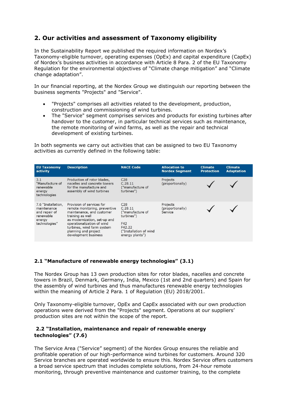# <span id="page-3-0"></span>**2. Our activities and assessment of Taxonomy eligibility**

In the Sustainability Report we published the required information on Nordex's Taxonomy-eligible turnover, operating expenses (OpEx) and capital expenditure (CapEx) of Nordex's business activities in accordance with Article 8 Para. 2 of the EU Taxonomy Regulation for the environmental objectives of "Climate change mitigation" and "Climate change adaptation".

In our financial reporting, at the Nordex Group we distinguish our reporting between the business segments "Projects" and "Service".

- "Projects" comprises all activities related to the development, production, construction and commissioning of wind turbines.
- The "Service" segment comprises services and products for existing turbines after handover to the customer, in particular technical services such as maintenance, the remote monitoring of wind farms, as well as the repair and technical development of existing turbines.

In both segments we carry out activities that can be assigned to two EU Taxonomy activities as currently defined in the following table:



### <span id="page-3-1"></span>**2.1 "Manufacture of renewable energy technologies" (3.1)**

The Nordex Group has 13 own production sites for rotor blades, nacelles and concrete towers in Brazil, Denmark, Germany, India, Mexico (1st and 2nd quarters) and Spain for the assembly of wind turbines and thus manufactures renewable energy technologies within the meaning of Article 2 Para. 1 of Regulation (EU) 2018/2001.

Only Taxonomy-eligible turnover, OpEx and CapEx associated with our own production operations were derived from the "Projects" segment. Operations at our suppliers' production sites are not within the scope of the report.

#### <span id="page-3-2"></span>**2.2 "Installation, maintenance and repair of renewable energy technologies" (7.6)**

The Service Area ("Service" segment) of the Nordex Group ensures the reliable and profitable operation of our high-performance wind turbines for customers. Around 320 Service branches are operated worldwide to ensure this. Nordex Service offers customers a broad service spectrum that includes complete solutions, from 24-hour remote monitoring, through preventive maintenance and customer training, to the complete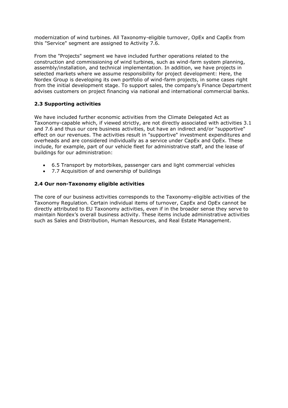modernization of wind turbines. All Taxonomy-eligible turnover, OpEx and CapEx from this "Service" segment are assigned to Activity 7.6.

From the "Projects" segment we have included further operations related to the construction and commissioning of wind turbines, such as wind-farm system planning, assembly/installation, and technical implementation. In addition, we have projects in selected markets where we assume responsibility for project development: Here, the Nordex Group is developing its own portfolio of wind-farm projects, in some cases right from the initial development stage. To support sales, the company's Finance Department advises customers on project financing via national and international commercial banks.

#### <span id="page-4-0"></span>**2.3 Supporting activities**

We have included further economic activities from the Climate Delegated Act as Taxonomy-capable which, if viewed strictly, are not directly associated with activities 3.1 and 7.6 and thus our core business activities, but have an indirect and/or "supportive" effect on our revenues. The activities result in "supportive" investment expenditures and overheads and are considered individually as a service under CapEx and OpEx. These include, for example, part of our vehicle fleet for administrative staff, and the lease of buildings for our administration:

- 6.5 Transport by motorbikes, passenger cars and light commercial vehicles
- 7.7 Acquisition of and ownership of buildings

#### <span id="page-4-1"></span>**2.4 Our non-Taxonomy eligible activities**

The core of our business activities corresponds to the Taxonomy-eligible activities of the Taxonomy Regulation. Certain individual items of turnover, CapEx and OpEx cannot be directly attributed to EU Taxonomy activities, even if in the broader sense they serve to maintain Nordex's overall business activity. These items include administrative activities such as Sales and Distribution, Human Resources, and Real Estate Management.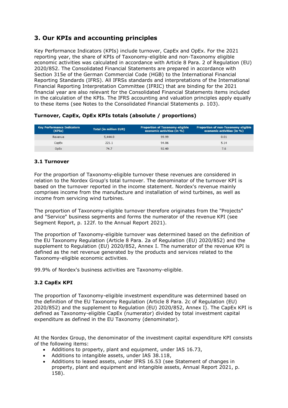# <span id="page-5-0"></span>**3. Our KPIs and accounting principles**

Key Performance Indicators (KPIs) include turnover, CapEx and OpEx. For the 2021 reporting year, the share of KPIs of Taxonomy-eligible and non-Taxonomy eligible economic activities was calculated in accordance with Article 8 Para. 2 of Regulation (EU) 2020/852. The Consolidated Financial Statements are prepared in accordance with Section 315e of the German Commercial Code (HGB) to the International Financial Reporting Standards (IFRS). All IFRSs standards and interpretations of the International Financial Reporting Interpretation Committee (IFRIC) that are binding for the 2021 financial year are also relevant for the Consolidated Financial Statements items included in the calculation of the KPIs. The IFRS accounting and valuation principles apply equally to these items (see Notes to the Consolidated Financial Statements p. 103).

| <b>Key Performance Indicators</b><br>(KPIs) | <b>Total (in million EUR)</b> | <b>Proportion of Taxonomy-eligible</b><br>economic activities (in %) | Proportion of non-Taxonomy eligible<br>economic activities (in %) |
|---------------------------------------------|-------------------------------|----------------------------------------------------------------------|-------------------------------------------------------------------|
| Revenue                                     | 5,444.0                       | 99.99                                                                | 0.01                                                              |
| CapEx                                       | 221.1                         | 94.86                                                                | 5.14                                                              |
| OpEx                                        | 74.7                          | 92.40                                                                | 7.6                                                               |

#### **Turnover, CapEx, OpEx KPIs totals (absolute / proportions)**

#### <span id="page-5-1"></span>**3.1 Turnover**

For the proportion of Taxonomy-eligible turnover these revenues are considered in relation to the Nordex Group's total turnover. The denominator of the turnover KPI is based on the turnover reported in the income statement. Nordex's revenue mainly comprises income from the manufacture and installation of wind turbines, as well as income from servicing wind turbines.

The proportion of Taxonomy-eligible turnover therefore originates from the "Projects" and "Service" business segments and forms the numerator of the revenue KPI (see Segment Report, p. 122f. to the Annual Report 2021).

The proportion of Taxonomy-eligible turnover was determined based on the definition of the EU Taxonomy Regulation (Article 8 Para. 2a of Regulation (EU) 2020/852) and the supplement to Regulation (EU) 2020/852, Annex I. The numerator of the revenue KPI is defined as the net revenue generated by the products and services related to the Taxonomy-eligible economic activities.

99.9% of Nordex's business activities are Taxonomy-eligible.

#### <span id="page-5-2"></span>**3.2 CapEx KPI**

The proportion of Taxonomy-eligible investment expenditure was determined based on the definition of the EU Taxonomy Regulation (Article 8 Para. 2c of Regulation (EU) 2020/852) and the supplement to Regulation (EU) 2020/852, Annex I). The CapEx KPI is defined as Taxonomy-eligible CapEx (numerator) divided by total investment capital expenditure as defined in the EU Taxonomy (denominator).

At the Nordex Group, the denominator of the investment capital expenditure KPI consists of the following items:

- Additions to property, plant and equipment, under IAS 16.73,
- Additions to intangible assets, under IAS 38.118,
- Additions to leased assets, under IFRS 16.53 (see Statement of changes in property, plant and equipment and intangible assets, Annual Report 2021, p. 158).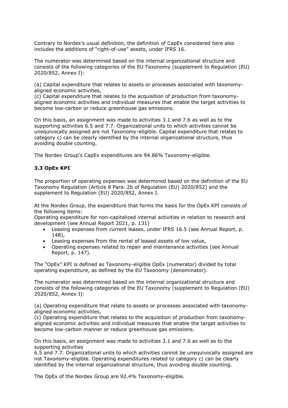Contrary to Nordex's usual definition, the definition of CapEx considered here also includes the additions of "right-of-use" assets, under IFRS 16.

The numerator was determined based on the internal organizational structure and consists of the following categories of the EU Taxonomy (supplement to Regulation (EU) 2020/852, Annex I):

(a) Capital expenditure that relates to assets or processes associated with taxonomyaligned economic activities,

(c) Capital expenditure that relates to the acquisition of production from taxonomyaligned economic activities and individual measures that enable the target activities to become low-carbon or reduce greenhouse gas emissions.

On this basis, an assignment was made to activities 3.1 and 7.6 as well as to the supporting activities 6.5 and 7.7. Organizational units to which activities cannot be unequivocally assigned are not Taxonomy-eligible. Capital expenditure that relates to category c) can be clearly identified by the internal organizational structure, thus avoiding double counting.

The Nordex Group's CapEx expenditures are 94.86% Taxonomy-eligible.

#### <span id="page-6-0"></span>**3.3 OpEx KPI**

The proportion of operating expenses was determined based on the definition of the EU Taxonomy Regulation (Article 8 Para. 2b of Regulation (EU) 2020/852) and the supplement to Regulation (EU) 2020/852, Annex I.

At the Nordex Group, the expenditure that forms the basis for the OpEx KPI consists of the following items:

Operating expenditure for non-capitalized internal activities in relation to research and development (see Annual Report 2021, p. 131)

- Leasing expenses from current leases, under IFRS 16.5 (see Annual Report, p. 148),
- Leasing expenses from the rental of leased assets of low value,
- Operating expenses related to repair and maintenance activities (see Annual Report, p. 147).

The "OpEx" KPI is defined as Taxonomy-eligible OpEx (numerator) divided by total operating expenditure, as defined by the EU Taxonomy (denominator).

The numerator was determined based on the internal organizational structure and consists of the following categories of the EU Taxonomy (supplement to Regulation (EU) 2020/852, Annex I):

(a) Operating expenditure that relate to assets or processes associated with taxonomyaligned economic activities,

(c) Operating expenditure that relates to the acquisition of production from taxonomyaligned economic activities and individual measures that enable the target activities to become low-carbon manner or reduce greenhouse gas emissions.

On this basis, an assignment was made to activities 3.1 and 7.6 as well as to the supporting activities

6.5 and 7.7. Organizational units to which activities cannot be unequivocally assigned are not Taxonomy-eligible. Operating expenditures related to category c) can be clearly identified by the internal organizational structure, thus avoiding double counting.

The OpEx of the Nordex Group are 92.4% Taxonomy-eligible.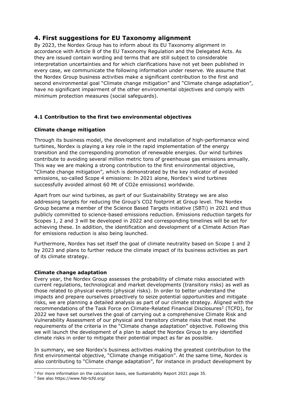# <span id="page-7-0"></span>**4. First suggestions for EU Taxonomy alignment**

By 2023, the Nordex Group has to inform about its EU Taxonomy alignment in accordance with Article 8 of the EU Taxonomy Regulation and the Delegated Acts. As they are issued contain wording and terms that are still subject to considerable interpretation uncertainties and for which clarifications have not yet been published in every case, we communicate the following information under reserve. We assume that the Nordex Group business activities make a significant contribution to the first and second environmental goal "Climate change mitigation" and "Climate change adaptation", have no significant impairment of the other environmental objectives and comply with minimum protection measures (social safeguards).

## <span id="page-7-1"></span>**4.1 Contribution to the first two environmental objectives**

#### **Climate change mitigation**

Through its business model, the development and installation of high-performance wind turbines, Nordex is playing a key role in the rapid implementation of the energy transition and the corresponding promotion of renewable energies. Our wind turbines contribute to avoiding several million metric tons of greenhouse gas emissions annually. This way we are making a strong contribution to the first environmental objective, "Climate change mitigation", which is demonstrated by the key indicator of avoided emissions, so-called Scope 4 emissions: In 2021 alone, Nordex's wind turbines successfully avoided almost 60 Mt of CO2e emissions1 worldwide.

Apart from our wind turbines, as part of our Sustainability Strategy we are also addressing targets for reducing the Group's CO2 footprint at Group level. The Nordex Group became a member of the Science Based Targets initiative (SBTi) in 2021 and thus publicly committed to science-based emissions reduction. Emissions reduction targets for Scopes 1, 2 and 3 will be developed in 2022 and corresponding timelines will be set for achieving these. In addition, the identification and development of a Climate Action Plan for emissions reduction is also being launched.

Furthermore, Nordex has set itself the goal of climate neutrality based on Scope 1 and 2 by 2023 and plans to further reduce the climate impact of its business activities as part of its climate strategy.

#### **Climate change adaptation**

Every year, the Nordex Group assesses the probability of climate risks associated with current regulations, technological and market developments (transitory risks) as well as those related to physical events (physical risks). In order to better understand the impacts and prepare ourselves proactively to seize potential opportunities and mitigate risks, we are planning a detailed analysis as part of our climate strategy. Aligned with the recommendations of the Task Force on Climate-Related Financial Disclosures<sup>2</sup> (TCFD), for 2022 we have set ourselves the goal of carrying out a comprehensive Climate Risk and Vulnerability Assessment of our physical and transitory climate risks that meet the requirements of the criteria in the "Climate change adaptation" objective. Following this we will launch the development of a plan to adapt the Nordex Group to any identified climate risks in order to mitigate their potential impact as far as possible.

In summary, we see Nordex's business activities making the greatest contribution to the first environmental objective, "Climate change mitigation". At the same time, Nordex is also contributing to "Climate change adaptation", for instance in product development by

<sup>1</sup> <sup>1</sup> For more information on the calculation basis, see Sustainability Report 2021 page 35.

<sup>2</sup> See also https://www.fsb-tcfd.org/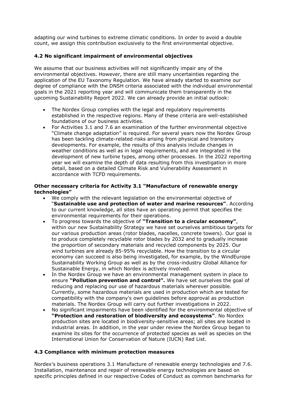adapting our wind turbines to extreme climatic conditions. In order to avoid a double count, we assign this contribution exclusively to the first environmental objective.

#### <span id="page-8-0"></span>**4.2 No significant impairment of environmental objectives**

We assume that our business activities will not significantly impair any of the environmental objectives. However, there are still many uncertainties regarding the application of the EU Taxonomy Regulation. We have already started to examine our degree of compliance with the DNSH criteria associated with the individual environmental goals in the 2021 reporting year and will communicate them transparently in the upcoming Sustainability Report 2022. We can already provide an initial outlook:

- The Nordex Group complies with the legal and regulatory requirements established in the respective regions. Many of these criteria are well-established foundations of our business activities.
- For Activities 3.1 and 7.6 an examination of the further environmental objective "Climate change adaptation" is required. For several years now the Nordex Group has been tackling climate-related risks arising from physical and transitory developments. For example, the results of this analysis include changes in weather conditions as well as in legal requirements, and are integrated in the development of new turbine types, among other processes. In the 2022 reporting year we will examine the depth of data resulting from this investigation in more detail, based on a detailed Climate Risk and Vulnerability Assessment in accordance with TCFD requirements.

#### **Other necessary criteria for Activity 3.1 "Manufacture of renewable energy technologies"**

- We comply with the relevant legislation on the environmental objective of "**Sustainable use and protection of water and marine resources"**. According to our current knowledge, all sites have an operating permit that specifies the environmental requirements for their operations.
- To progress towards the objective of **"Transition to a circular economy"**, within our new Sustainability Strategy we have set ourselves ambitious targets for our various production areas (rotor blades, nacelles, concrete towers). Our goal is to produce completely recyclable rotor blades by 2032 and to gradually increase the proportion of secondary materials and recycled components by 2025. Our wind turbines are already 85-95% recyclable. How the transition to a circular economy can succeed is also being investigated, for example, by the WindEurope Sustainability Working Group as well as by the cross-industry Global Alliance for Sustainable Energy, in which Nordex is actively involved.
- In the Nordex Group we have an environmental management system in place to ensure **"Pollution prevention and control".** We have set ourselves the goal of reducing and replacing our use of hazardous materials wherever possible. Currently, some hazardous materials are used in production which are tested for compatibility with the company's own guidelines before approval as production materials. The Nordex Group will carry out further investigations in 2022.
- No significant impairments have been identified for the environmental objective of **"Protection and restoration of biodiversity and ecosystems"**. No Nordex production sites are located in biodiversity-sensitive areas; all sites are located in industrial areas. In addition, in the year under review the Nordex Group began to examine its sites for the occurrence of protected species as well as species on the International Union for Conservation of Nature (IUCN) Red List.

#### <span id="page-8-1"></span>**4.3 Compliance with minimum protection measures**

Nordex's business operations 3.1 Manufacture of renewable energy technologies and 7.6. Installation, maintenance and repair of renewable energy technologies are based on specific principles defined in our respective Codes of Conduct as common benchmarks for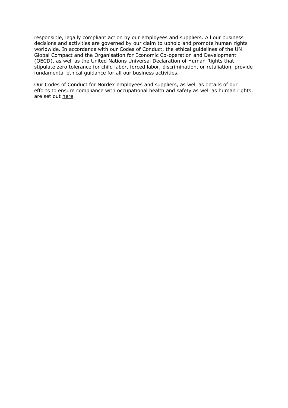responsible, legally compliant action by our employees and suppliers. All our business decisions and activities are governed by our claim to uphold and promote human rights worldwide. In accordance with our Codes of Conduct, the ethical guidelines of the UN Global Compact and the Organisation for Economic Co-operation and Development (OECD), as well as the United Nations Universal Declaration of Human Rights that stipulate zero tolerance for child labor, forced labor, discrimination, or retaliation, provide fundamental ethical guidance for all our business activities.

Our Codes of Conduct for Nordex employees and suppliers, as well as details of our efforts to ensure compliance with occupational health and safety as well as human rights, are set out [here.](https://www.nordex-online.com/en/company/compliance/)